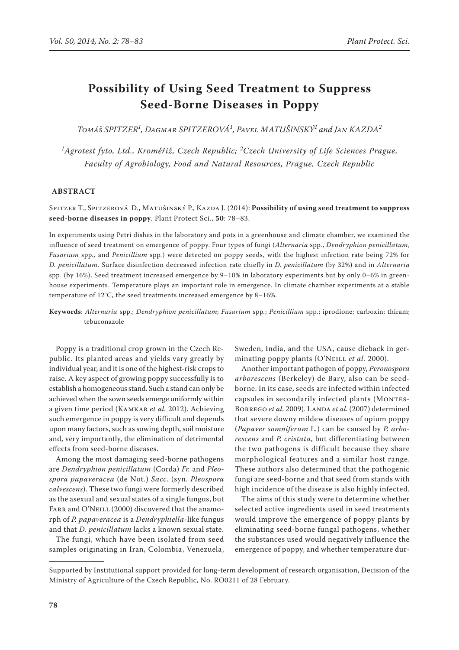# **Possibility of Using Seed Treatment to Suppress Seed-Borne Diseases in Poppy**

*Tomáš Spitzer<sup>1</sup> , Dagmar Spitzerová<sup>1</sup> , Pavel Matušinský<sup>1</sup> and Jan Kazda<sup>2</sup>*

*1 Agrotest fyto, Ltd., Kroměříž, Czech Republic; <sup>2</sup> Czech University of Life Sciences Prague, Faculty of Agrobiology, Food and Natural Resources, Prague, Czech Republic*

## **ABSTRACT**

Spitzer T., Spitzerová D., Matušinský P., Kazda J. (2014): **Possibility of using seed treatment to suppress seed-borne diseases in poppy**. Plant Protect Sci., **50**: 78–83.

In experiments using Petri dishes in the laboratory and pots in a greenhouse and climate chamber, we examined the influence of seed treatment on emergence of poppy. Four types of fungi (*Alternaria* spp*.*, *Dendryphion penicillatum*, *Fusarium* spp*.,* and *Penicillium* spp*.*) were detected on poppy seeds, with the highest infection rate being 72% for *D. penicillatum*. Surface disinfection decreased infection rate chiefly in *D. penicillatum* (by 32%) and in *Alternaria*  spp. (by 16%). Seed treatment increased emergence by 9–10% in laboratory experiments but by only 0–6% in greenhouse experiments. Temperature plays an important role in emergence. In climate chamber experiments at a stable temperature of 12°C, the seed treatments increased emergence by 8–16%.

**Keywords**: *Alternaria* spp.; *Dendryphion penicillatum*; *Fusarium* spp*.*; *Penicillium* spp.; iprodione; carboxin; thiram; tebuconazole

Poppy is a traditional crop grown in the Czech Republic. Its planted areas and yields vary greatly by individual year, and it is one of the highest-risk crops to raise. A key aspect of growing poppy successfully is to establish a homogeneous stand. Such a stand can only be achieved when the sown seeds emerge uniformly within a given time period (Kamkar *et al.* 2012). Achieving such emergence in poppy is very difficult and depends upon many factors, such as sowing depth, soil moisture and, very importantly, the elimination of detrimental effects from seed-borne diseases.

Among the most damaging seed-borne pathogens are *Dendryphion penicillatum* (Corda) *Fr.* and *Pleospora papaveracea* (de Not.) *Sacc.* (syn. *Pleospora calvescens*). These two fungi were formerly described as the asexual and sexual states of a single fungus, but FARR and O'NEILL (2000) discovered that the anamorph of *P. papaveracea* is a *Dendryphiella*-like fungus and that *D. penicillatum* lacks a known sexual state.

The fungi, which have been isolated from seed samples originating in Iran, Colombia, Venezuela,

Sweden, India, and the USA, cause dieback in germinating poppy plants (O'NeILL *et al.* 2000).

Another important pathogen of poppy, *Peronospora arborescens* (Berkeley) de Bary, also can be seedborne. In its case, seeds are infected within infected capsules in secondarily infected plants (MONTES-BORREGO et al. 2009). LANDA et al. (2007) determined that severe downy mildew diseases of opium poppy (*Papaver somniferum* L*.*) can be caused by *P. arborescens* and *P. cristata*, but differentiating between the two pathogens is difficult because they share morphological features and a similar host range. These authors also determined that the pathogenic fungi are seed-borne and that seed from stands with high incidence of the disease is also highly infected.

The aims of this study were to determine whether selected active ingredients used in seed treatments would improve the emergence of poppy plants by eliminating seed-borne fungal pathogens, whether the substances used would negatively influence the emergence of poppy, and whether temperature dur-

Supported by Institutional support provided for long-term development of research organisation, Decision of the Ministry of Agriculture of the Czech Republic, No. RO0211 of 28 February.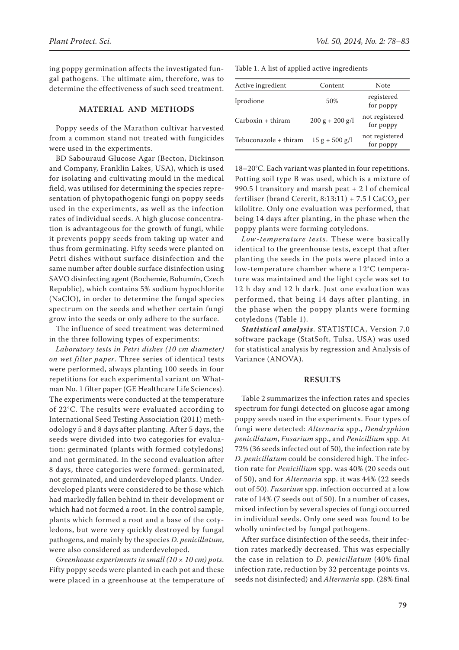ing poppy germination affects the investigated fungal pathogens. The ultimate aim, therefore, was to determine the effectiveness of such seed treatment.

## **MATERIAL AND METHODS**

Poppy seeds of the Marathon cultivar harvested from a common stand not treated with fungicides were used in the experiments.

BD Sabouraud Glucose Agar (Becton, Dickinson and Company, Franklin Lakes, USA), which is used for isolating and cultivating mould in the medical field, was utilised for determining the species representation of phytopathogenic fungi on poppy seeds used in the experiments, as well as the infection rates of individual seeds. A high glucose concentration is advantageous for the growth of fungi, while it prevents poppy seeds from taking up water and thus from germinating. Fifty seeds were planted on Petri dishes without surface disinfection and the same number after double surface disinfection using SAVO disinfecting agent (Bochemie, Bohumín, Czech Republic), which contains 5% sodium hypochlorite (NaClO), in order to determine the fungal species spectrum on the seeds and whether certain fungi grow into the seeds or only adhere to the surface.

The influence of seed treatment was determined in the three following types of experiments:

*Laboratory tests in Petri dishes (10 cm diameter) on wet filter paper*. Three series of identical tests were performed, always planting 100 seeds in four repetitions for each experimental variant on Whatman No. 1 filter paper (GE Healthcare Life Sciences). The experiments were conducted at the temperature of 22°C. The results were evaluated according to International Seed Testing Association (2011) methodology 5 and 8 days after planting. After 5 days, the seeds were divided into two categories for evaluation: germinated (plants with formed cotyledons) and not germinated. In the second evaluation after 8 days, three categories were formed: germinated, not germinated, and underdeveloped plants. Underdeveloped plants were considered to be those which had markedly fallen behind in their development or which had not formed a root. In the control sample, plants which formed a root and a base of the cotyledons, but were very quickly destroyed by fungal pathogens, and mainly by the species *D. penicillatum*, were also considered as underdeveloped.

*Greenhouse experiments in small (10 × 10 cm) pots*. Fifty poppy seeds were planted in each pot and these were placed in a greenhouse at the temperature of Table 1. A list of applied active ingredients

| Active ingredient     | Content           | Note                        |
|-----------------------|-------------------|-----------------------------|
| Iprodione             | 50%               | registered<br>for poppy     |
| Carboxin + thiram     | $200 g + 200 g/l$ | not registered<br>for poppy |
| Tebuconazole + thiram | $15 g + 500 g/l$  | not registered<br>for poppy |

18–20°C. Each variant was planted in four repetitions. Potting soil type B was used, which is a mixture of 990.5 l transitory and marsh peat + 2 l of chemical fertiliser (brand Cererit,  $8:13:11$ ) + 7.5 l CaCO<sub>3</sub> per kilolitre. Only one evaluation was performed, that being 14 days after planting, in the phase when the poppy plants were forming cotyledons.

*Low-temperature tests*. These were basically identical to the greenhouse tests, except that after planting the seeds in the pots were placed into a low-temperature chamber where a 12°C temperature was maintained and the light cycle was set to 12 h day and 12 h dark. Just one evaluation was performed, that being 14 days after planting, in the phase when the poppy plants were forming cotyledons (Table 1).

*Statistical analysis*. STATISTICA, Version 7.0 software package (StatSoft, Tulsa, USA) was used for statistical analysis by regression and Analysis of Variance (ANOVA).

#### **RESULTS**

Table 2 summarizes the infection rates and species spectrum for fungi detected on glucose agar among poppy seeds used in the experiments. Four types of fungi were detected: *Alternaria* spp., *Dendryphion penicillatum*, *Fusarium* spp., and *Penicillium* spp. At 72% (36 seeds infected out of 50), the infection rate by *D. penicillatum* could be considered high. The infection rate for *Penicillium* spp. was 40% (20 seeds out of 50), and for *Alternaria* spp. it was 44% (22 seeds out of 50). *Fusarium* spp. infection occurred at a low rate of 14% (7 seeds out of 50). In a number of cases, mixed infection by several species of fungi occurred in individual seeds. Only one seed was found to be wholly uninfected by fungal pathogens.

After surface disinfection of the seeds, their infection rates markedly decreased. This was especially the case in relation to *D. penicillatum* (40% final infection rate, reduction by 32 percentage points vs. seeds not disinfected) and *Alternaria* spp. (28% final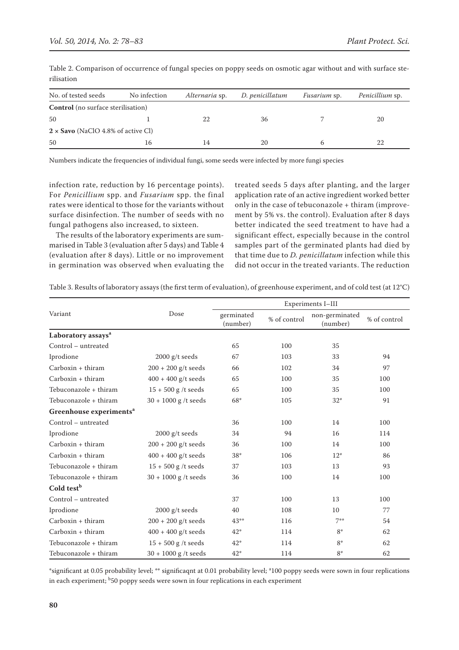| No. of tested seeds                       | No infection | Alternaria sp. | D. penicillatum | <i>Fusarium</i> sp. | Penicillium sp. |  |  |
|-------------------------------------------|--------------|----------------|-----------------|---------------------|-----------------|--|--|
| <b>Control</b> (no surface sterilisation) |              |                |                 |                     |                 |  |  |
| 50                                        |              | 22             | 36              |                     | 20              |  |  |
| $2 \times$ Savo (NaClO 4.8% of active Cl) |              |                |                 |                     |                 |  |  |
| 50                                        | 16           | 14             | 20              |                     |                 |  |  |

Table 2. Comparison of occurrence of fungal species on poppy seeds on osmotic agar without and with surface sterilisation

Numbers indicate the frequencies of individual fungi, some seeds were infected by more fungi species

infection rate, reduction by 16 percentage points). For *Penicillium* spp. and *Fusarium* spp. the final rates were identical to those for the variants without surface disinfection. The number of seeds with no fungal pathogens also increased, to sixteen.

The results of the laboratory experiments are summarised in Table 3 (evaluation after 5 days) and Table 4 (evaluation after 8 days). Little or no improvement in germination was observed when evaluating the treated seeds 5 days after planting, and the larger application rate of an active ingredient worked better only in the case of tebuconazole + thiram (improvement by 5% vs. the control). Evaluation after 8 days better indicated the seed treatment to have had a significant effect, especially because in the control samples part of the germinated plants had died by that time due to *D. penicillatum* infection while this did not occur in the treated variants. The reduction

Table 3. Results of laboratory assays (the first term of evaluation), of greenhouse experiment, and of cold test (at 12°C)

|                                     |                        | Experiments I-III      |              |                            |              |  |
|-------------------------------------|------------------------|------------------------|--------------|----------------------------|--------------|--|
| Variant                             | Dose                   | germinated<br>(number) | % of control | non-germinated<br>(number) | % of control |  |
| Laboratory assays <sup>a</sup>      |                        |                        |              |                            |              |  |
| Control - untreated                 |                        | 65                     | 100          | 35                         |              |  |
| Iprodione                           | $2000$ g/t seeds       | 67                     | 103          | 33                         | 94           |  |
| $Carboxin + thiram$                 | $200 + 200$ g/t seeds  | 66                     | 102          | 34                         | 97           |  |
| $Carboxin + thiram$                 | $400 + 400$ g/t seeds  | 65                     | 100          | 35                         | 100          |  |
| Tebuconazole + thiram               | $15 + 500$ g /t seeds  | 65                     | 100          | 35                         | 100          |  |
| Tebuconazole + thiram               | $30 + 1000$ g /t seeds | 68*                    | 105          | $32*$                      | 91           |  |
| Greenhouse experiments <sup>a</sup> |                        |                        |              |                            |              |  |
| Control - untreated                 |                        | 36                     | 100          | 14                         | 100          |  |
| Iprodione                           | $2000$ g/t seeds       | 34                     | 94           | 16                         | 114          |  |
| $Carboxin + thiram$                 | $200 + 200$ g/t seeds  | 36                     | 100          | 14                         | 100          |  |
| $Carboxin + thiram$                 | $400 + 400$ g/t seeds  | $38*$                  | 106          | $12*$                      | 86           |  |
| Tebuconazole + thiram               | $15 + 500$ g /t seeds  | 37                     | 103          | 13                         | 93           |  |
| Tebuconazole + thiram               | $30 + 1000$ g /t seeds | 36                     | 100          | 14                         | 100          |  |
| Cold test <sup>b</sup>              |                        |                        |              |                            |              |  |
| Control - untreated                 |                        | 37                     | 100          | 13                         | 100          |  |
| Iprodione                           | $2000$ g/t seeds       | 40                     | 108          | 10                         | 77           |  |
| $Carboxin + thiram$                 | $200 + 200$ g/t seeds  | $43**$                 | 116          | $7***$                     | 54           |  |
| $Carboxin + thiram$                 | $400 + 400$ g/t seeds  | $42*$                  | 114          | $8*$                       | 62           |  |
| Tebuconazole + thiram               | $15 + 500$ g /t seeds  | $42*$                  | 114          | $8*$                       | 62           |  |
| Tebuconazole + thiram               | $30 + 1000$ g /t seeds | $42*$                  | 114          | $8*$                       | 62           |  |

\*significant at 0.05 probability level; \*\* significaqnt at 0.01 probability level; <sup>a</sup>100 poppy seeds were sown in four replications in each experiment; <sup>b</sup>50 poppy seeds were sown in four replications in each experiment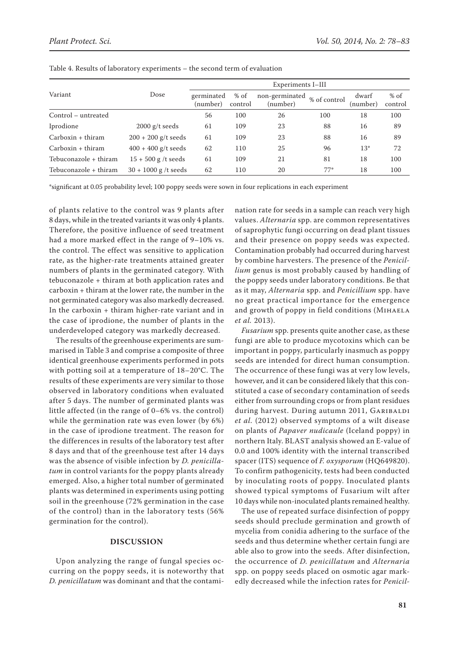|                       |                        | Experiments I-III      |                   |                            |              |                   |                   |  |
|-----------------------|------------------------|------------------------|-------------------|----------------------------|--------------|-------------------|-------------------|--|
| Variant               | Dose                   | germinated<br>(number) | $%$ of<br>control | non-germinated<br>(number) | % of control | dwarf<br>(number) | $%$ of<br>control |  |
| Control – untreated   |                        | 56                     | 100               | 26                         | 100          | 18                | 100               |  |
| Iprodione             | $2000$ g/t seeds       | 61                     | 109               | 23                         | 88           | 16                | 89                |  |
| $Carboxin + thiram$   | $200 + 200$ g/t seeds  | 61                     | 109               | 23                         | 88           | 16                | 89                |  |
| $Carboxin + thiram$   | $400 + 400$ g/t seeds  | 62                     | 110               | 25                         | 96           | $13*$             | 72                |  |
| Tebuconazole + thiram | $15 + 500$ g /t seeds  | 61                     | 109               | 21                         | 81           | 18                | 100               |  |
| Tebuconazole + thiram | $30 + 1000$ g /t seeds | 62                     | 110               | 20                         | $77*$        | 18                | 100               |  |

Table 4. Results of laboratory experiments – the second term of evaluation

\*significant at 0.05 probability level; 100 poppy seeds were sown in four replications in each experiment

of plants relative to the control was 9 plants after 8 days, while in the treated variants it was only 4 plants. Therefore, the positive influence of seed treatment had a more marked effect in the range of 9–10% vs. the control. The effect was sensitive to application rate, as the higher-rate treatments attained greater numbers of plants in the germinated category. With tebuconazole + thiram at both application rates and carboxin + thiram at the lower rate, the number in the not germinated category was also markedly decreased. In the carboxin + thiram higher-rate variant and in the case of iprodione, the number of plants in the underdeveloped category was markedly decreased.

The results of the greenhouse experiments are summarised in Table 3 and comprise a composite of three identical greenhouse experiments performed in pots with potting soil at a temperature of 18–20°C. The results of these experiments are very similar to those observed in laboratory conditions when evaluated after 5 days. The number of germinated plants was little affected (in the range of 0–6% vs. the control) while the germination rate was even lower (by 6%) in the case of iprodione treatment. The reason for the differences in results of the laboratory test after 8 days and that of the greenhouse test after 14 days was the absence of visible infection by *D. penicillatum* in control variants for the poppy plants already emerged. Also, a higher total number of germinated plants was determined in experiments using potting soil in the greenhouse (72% germination in the case of the control) than in the laboratory tests (56% germination for the control).

## **DISCUSSION**

Upon analyzing the range of fungal species occurring on the poppy seeds, it is noteworthy that *D. penicillatum* was dominant and that the contami-

nation rate for seeds in a sample can reach very high values. *Alternaria* spp. are common representatives of saprophytic fungi occurring on dead plant tissues and their presence on poppy seeds was expected. Contamination probably had occurred during harvest by combine harvesters. The presence of the *Penicillium* genus is most probably caused by handling of the poppy seeds under laboratory conditions. Be that as it may, *Alternaria* spp. and *Penicillium* spp. have no great practical importance for the emergence and growth of poppy in field conditions (MIHAELA *et al.* 2013).

*Fusarium* spp. presents quite another case, as these fungi are able to produce mycotoxins which can be important in poppy, particularly inasmuch as poppy seeds are intended for direct human consumption. The occurrence of these fungi was at very low levels, however, and it can be considered likely that this constituted a case of secondary contamination of seeds either from surrounding crops or from plant residues during harvest. During autumn 2011, GARIBALDI *et al.* (2012) observed symptoms of a wilt disease on plants of *Papaver nudicaule* (Iceland poppy) in northern Italy. BLAST analysis showed an E-value of 0.0 and 100% identity with the internal transcribed spacer (ITS) sequence of *F. oxysporum* (HQ649820). To confirm pathogenicity, tests had been conducted by inoculating roots of poppy. Inoculated plants showed typical symptoms of Fusarium wilt after 10 days while non-inoculated plants remained healthy.

The use of repeated surface disinfection of poppy seeds should preclude germination and growth of mycelia from conidia adhering to the surface of the seeds and thus determine whether certain fungi are able also to grow into the seeds. After disinfection, the occurrence of *D. penicillatum* and *Alternaria*  spp. on poppy seeds placed on osmotic agar markedly decreased while the infection rates for *Penicil-*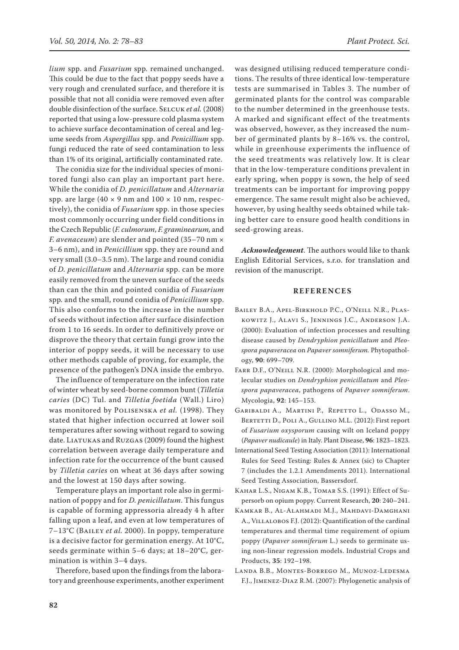*lium* spp. and *Fusarium* spp*.* remained unchanged. This could be due to the fact that poppy seeds have a very rough and crenulated surface, and therefore it is possible that not all conidia were removed even after double disinfection of the surface. SELCUK *et al.* (2008) reported that using a low-pressure cold plasma system to achieve surface decontamination of cereal and legume seeds from *Aspergillus* spp. and *Penicillium* spp. fungi reduced the rate of seed contamination to less than 1% of its original, artificially contaminated rate.

The conidia size for the individual species of monitored fungi also can play an important part here. While the conidia of *D. penicillatum* and *Alternaria*  spp. are large  $(40 \times 9 \text{ nm}$  and  $100 \times 10 \text{ nm}$ , respectively), the conidia of *Fusarium* spp. in those species most commonly occurring under field conditions in the Czech Republic (*F. culmorum*, *F. graminearum,* and *F. avenaceum*) are slender and pointed (35–70 nm × 3–6 nm), and in *Penicillium* spp. they are round and very small (3.0–3.5 nm). The large and round conidia of *D. penicillatum* and *Alternaria* spp. can be more easily removed from the uneven surface of the seeds than can the thin and pointed conidia of *Fusarium*  spp*.* and the small, round conidia of *Penicillium* spp. This also conforms to the increase in the number of seeds without infection after surface disinfection from 1 to 16 seeds. In order to definitively prove or disprove the theory that certain fungi grow into the interior of poppy seeds, it will be necessary to use other methods capable of proving, for example, the presence of the pathogen's DNA inside the embryo.

The influence of temperature on the infection rate of winter wheat by seed-borne common bunt (*Tilletia caries* (DC) Tul. and *Tilletia foetida* (Wall.) Liro) was monitored by Polisenska *et al.* (1998). They stated that higher infection occurred at lower soil temperatures after sowing without regard to sowing date. LIATUKAS and RUZGAS (2009) found the highest correlation between average daily temperature and infection rate for the occurrence of the bunt caused by *Tilletia caries* on wheat at 36 days after sowing and the lowest at 150 days after sowing.

Temperature plays an important role also in germination of poppy and for *D. penicillatum*. This fungus is capable of forming appressoria already 4 h after falling upon a leaf, and even at low temperatures of 7–13°C (Bailey *et al.* 2000). In poppy, temperature is a decisive factor for germination energy. At 10°C, seeds germinate within 5–6 days; at 18–20°C, germination is within 3–4 days.

Therefore, based upon the findings from the laboratory and greenhouse experiments, another experiment was designed utilising reduced temperature conditions. The results of three identical low-temperature tests are summarised in Tables 3. The number of germinated plants for the control was comparable to the number determined in the greenhouse tests. A marked and significant effect of the treatments was observed, however, as they increased the number of germinated plants by 8–16% vs. the control, while in greenhouse experiments the influence of the seed treatments was relatively low. It is clear that in the low-temperature conditions prevalent in early spring, when poppy is sown, the help of seed treatments can be important for improving poppy emergence. The same result might also be achieved, however, by using healthy seeds obtained while taking better care to ensure good health conditions in seed-growing areas.

*Acknowledgement*. The authors would like to thank English Editorial Services, s.r.o. for translation and revision of the manuscript.

### **REFERENCES**

- Bailey B.A., Apel-Birkhold P.C., O'Neill N.R., Plaskowitz J., Alavi S., Jennings J.C., Anderson J.A. (2000): Evaluation of infection processes and resulting disease caused by *Dendryphion penicillatum* and *Pleospora papaveracea* on *Papaver somniferum.* Phytopathology, **90**: 699–709.
- FARR D.F., O'NEILL N.R. (2000): Morphological and molecular studies on *Dendryphion penicillatum* and *Pleospora papaveracea*, pathogens of *Papaver somniferum*. Mycologia, **92**: 145–153.
- Garibaldi A., Martini P., Repetto L., Odasso M., BERTETTI D., POLI A., GULLINO M.L. (2012): First report of *Fusarium oxysporum* causing wilt on Iceland poppy (*Papaver nudicaule*) in Italy. Plant Disease, **96**: 1823–1823.
- International Seed Testing Association (2011): International Rules for Seed Testing: Rules & Annex (sic) to Chapter 7 (includes the 1.2.1 Amendments 2011). International Seed Testing Association, Bassersdorf.
- Kahar L.S., Nigam K.B., Tomar S.S. (1991): Effect of Supersorb on opium poppy. Current Research, **20**: 240–241.
- Kamkar B., Al-Alahmadi M.J., Mahdavi-Damghani A., VILLALOBOS F.J. (2012): Quantification of the cardinal temperatures and thermal time requirement of opium poppy (*Papaver somniferum* L.) seeds to germinate using non-linear regression models. Industrial Crops and Products, **35**: 192–198.
- Landa B.B., Montes-Borrego M., Munoz-Ledesma F.J., Jimenez-Diaz R.M. (2007): Phylogenetic analysis of